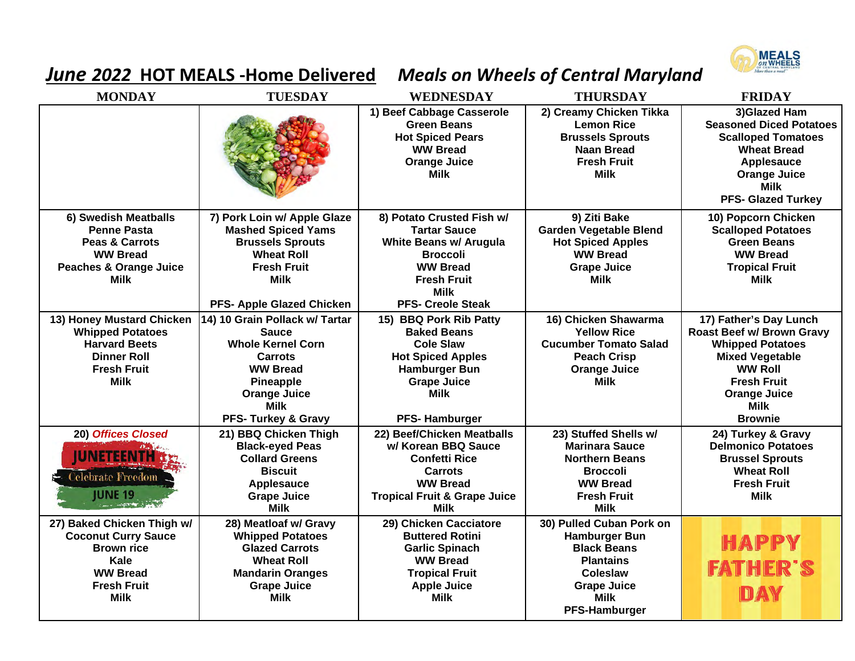

## *June 2022* **HOT MEALS -Home Delivered** *Meals on Wheels of Central Maryland*

| <b>MONDAY</b>                                                                                                                                 | <b>TUESDAY</b>                                                                                                                                                                            | <b>WEDNESDAY</b>                                                                                                                                                                  | <b>THURSDAY</b>                                                                                                                                                     | <b>FRIDAY</b>                                                                                                                                                                                            |
|-----------------------------------------------------------------------------------------------------------------------------------------------|-------------------------------------------------------------------------------------------------------------------------------------------------------------------------------------------|-----------------------------------------------------------------------------------------------------------------------------------------------------------------------------------|---------------------------------------------------------------------------------------------------------------------------------------------------------------------|----------------------------------------------------------------------------------------------------------------------------------------------------------------------------------------------------------|
|                                                                                                                                               |                                                                                                                                                                                           | 1) Beef Cabbage Casserole<br><b>Green Beans</b><br><b>Hot Spiced Pears</b><br><b>WW Bread</b><br><b>Orange Juice</b><br><b>Milk</b>                                               | 2) Creamy Chicken Tikka<br><b>Lemon Rice</b><br><b>Brussels Sprouts</b><br><b>Naan Bread</b><br><b>Fresh Fruit</b><br><b>Milk</b>                                   | 3)Glazed Ham<br><b>Seasoned Diced Potatoes</b><br><b>Scalloped Tomatoes</b><br><b>Wheat Bread</b><br><b>Applesauce</b><br><b>Orange Juice</b><br>Milk<br><b>PFS- Glazed Turkey</b>                       |
| 6) Swedish Meatballs<br>Penne Pasta<br><b>Peas &amp; Carrots</b><br><b>WW Bread</b><br><b>Peaches &amp; Orange Juice</b><br><b>Milk</b>       | 7) Pork Loin w/ Apple Glaze<br><b>Mashed Spiced Yams</b><br><b>Brussels Sprouts</b><br><b>Wheat Roll</b><br><b>Fresh Fruit</b><br><b>Milk</b><br>PFS- Apple Glazed Chicken                | 8) Potato Crusted Fish w/<br><b>Tartar Sauce</b><br>White Beans w/ Arugula<br><b>Broccoli</b><br><b>WW Bread</b><br><b>Fresh Fruit</b><br><b>Milk</b><br><b>PFS- Creole Steak</b> | 9) Ziti Bake<br><b>Garden Vegetable Blend</b><br><b>Hot Spiced Apples</b><br><b>WW Bread</b><br><b>Grape Juice</b><br><b>Milk</b>                                   | 10) Popcorn Chicken<br><b>Scalloped Potatoes</b><br><b>Green Beans</b><br><b>WW Bread</b><br><b>Tropical Fruit</b><br><b>Milk</b>                                                                        |
| 13) Honey Mustard Chicken<br><b>Whipped Potatoes</b><br><b>Harvard Beets</b><br><b>Dinner Roll</b><br>Fresh Fruit<br><b>Milk</b>              | 14) 10 Grain Pollack w/ Tartar<br><b>Sauce</b><br><b>Whole Kernel Corn</b><br><b>Carrots</b><br><b>WW Bread</b><br>Pineapple<br><b>Orange Juice</b><br><b>Milk</b><br>PFS- Turkey & Gravy | 15) BBQ Pork Rib Patty<br><b>Baked Beans</b><br><b>Cole Slaw</b><br><b>Hot Spiced Apples</b><br>Hamburger Bun<br><b>Grape Juice</b><br><b>Milk</b><br><b>PFS-Hamburger</b>        | 16) Chicken Shawarma<br><b>Yellow Rice</b><br><b>Cucumber Tomato Salad</b><br><b>Peach Crisp</b><br><b>Orange Juice</b><br><b>Milk</b>                              | 17) Father's Day Lunch<br>Roast Beef w/ Brown Gravy<br><b>Whipped Potatoes</b><br><b>Mixed Vegetable</b><br><b>WW Roll</b><br><b>Fresh Fruit</b><br><b>Orange Juice</b><br><b>Milk</b><br><b>Brownie</b> |
| 20) Offices Closed<br><b>Celebrate Freedom</b><br><b>IUNE 19</b>                                                                              | 21) BBQ Chicken Thigh<br><b>Black-eyed Peas</b><br><b>Collard Greens</b><br><b>Biscuit</b><br><b>Applesauce</b><br><b>Grape Juice</b><br><b>Milk</b>                                      | 22) Beef/Chicken Meatballs<br>w/ Korean BBQ Sauce<br><b>Confetti Rice</b><br><b>Carrots</b><br><b>WW Bread</b><br><b>Tropical Fruit &amp; Grape Juice</b><br>Milk                 | 23) Stuffed Shells w/<br><b>Marinara Sauce</b><br><b>Northern Beans</b><br><b>Broccoli</b><br><b>WW Bread</b><br><b>Fresh Fruit</b><br>Milk                         | 24) Turkey & Gravy<br><b>Delmonico Potatoes</b><br><b>Brussel Sprouts</b><br><b>Wheat Roll</b><br><b>Fresh Fruit</b><br><b>Milk</b>                                                                      |
| 27) Baked Chicken Thigh w/<br><b>Coconut Curry Sauce</b><br><b>Brown rice</b><br>Kale<br><b>WW Bread</b><br><b>Fresh Fruit</b><br><b>Milk</b> | 28) Meatloaf w/ Gravy<br><b>Whipped Potatoes</b><br><b>Glazed Carrots</b><br><b>Wheat Roll</b><br><b>Mandarin Oranges</b><br><b>Grape Juice</b><br>Milk                                   | 29) Chicken Cacciatore<br><b>Buttered Rotini</b><br><b>Garlic Spinach</b><br><b>WW Bread</b><br><b>Tropical Fruit</b><br><b>Apple Juice</b><br>Milk                               | 30) Pulled Cuban Pork on<br><b>Hamburger Bun</b><br><b>Black Beans</b><br><b>Plantains</b><br>Coleslaw<br><b>Grape Juice</b><br><b>Milk</b><br><b>PFS-Hamburger</b> | HAPPY<br><b>FATHER'S</b><br>DAY                                                                                                                                                                          |